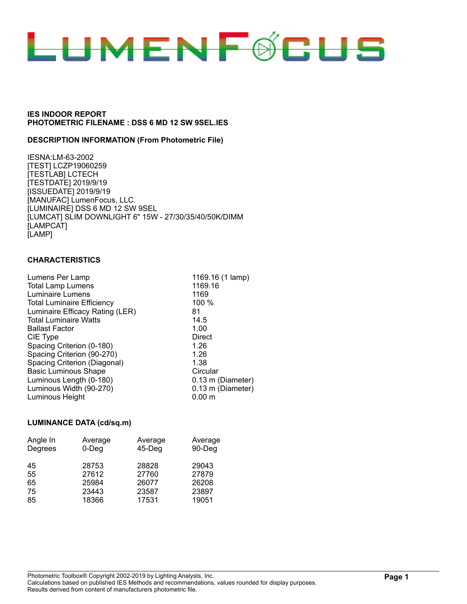

#### **DESCRIPTION INFORMATION (From Photometric File)**

IESNA:LM-63-2002 [TEST] LCZP19060259 [TESTLAB] LCTECH [TESTDATE] 2019/9/19 [ISSUEDATE] 2019/9/19 [MANUFAC] LumenFocus, LLC. [LUMINAIRE] DSS 6 MD 12 SW 9SEL [LUMCAT] SLIM DOWNLIGHT 6" 15W - 27/30/35/40/50K/DIMM [LAMPCAT] [LAMP]

## **CHARACTERISTICS**

| Lumens Per Lamp                   | 1169.16 (1 lamp)  |
|-----------------------------------|-------------------|
| <b>Total Lamp Lumens</b>          | 1169.16           |
| Luminaire Lumens                  | 1169              |
| <b>Total Luminaire Efficiency</b> | 100 %             |
| Luminaire Efficacy Rating (LER)   | 81                |
| <b>Total Luminaire Watts</b>      | 14.5              |
| <b>Ballast Factor</b>             | 1.00              |
| CIE Type                          | <b>Direct</b>     |
| Spacing Criterion (0-180)         | 1.26              |
| Spacing Criterion (90-270)        | 1.26              |
| Spacing Criterion (Diagonal)      | 1.38              |
| <b>Basic Luminous Shape</b>       | Circular          |
| Luminous Length (0-180)           | 0.13 m (Diameter) |
| Luminous Width (90-270)           | 0.13 m (Diameter) |
| Luminous Height                   | $0.00 \;{\rm m}$  |

#### **LUMINANCE DATA (cd/sq.m)**

| Angle In | Average  | Average   | Average |
|----------|----------|-----------|---------|
| Degrees  | $0$ -Deg | $45-$ Deg | 90-Deg  |
| 45       | 28753    | 28828     | 29043   |
| 55       | 27612    | 27760     | 27879   |
| 65       | 25984    | 26077     | 26208   |
| 75       | 23443    | 23587     | 23897   |
| 85       | 18366    | 17531     | 19051   |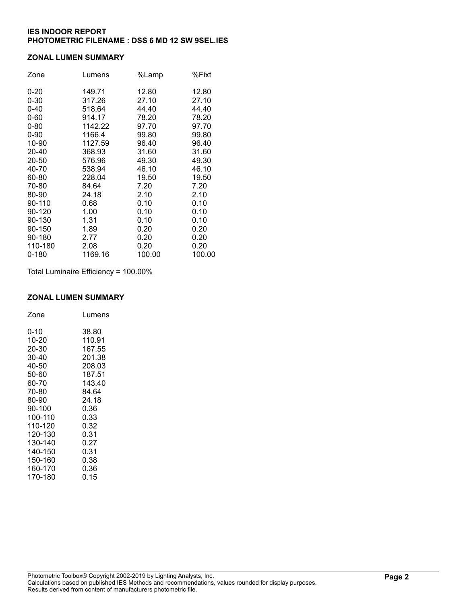## **ZONAL LUMEN SUMMARY**

| Zone     | Lumens  | %Lamp  | %Fixt  |
|----------|---------|--------|--------|
| $0 - 20$ | 149.71  | 12.80  | 12.80  |
| $0 - 30$ | 317.26  | 27.10  | 27.10  |
| $0 - 40$ | 518.64  | 44.40  | 44.40  |
| $0 - 60$ | 914.17  | 78.20  | 78.20  |
| $0 - 80$ | 1142.22 | 97.70  | 97.70  |
| $0 - 90$ | 1166.4  | 99.80  | 99.80  |
| 10-90    | 1127.59 | 96.40  | 96.40  |
| 20-40    | 368.93  | 31.60  | 31.60  |
| 20-50    | 576.96  | 49.30  | 49.30  |
| 40-70    | 538.94  | 46.10  | 46.10  |
| 60-80    | 228.04  | 19.50  | 19.50  |
| 70-80    | 84.64   | 7.20   | 7.20   |
| 80-90    | 24.18   | 2.10   | 2.10   |
| 90-110   | 0.68    | 0.10   | 0.10   |
| 90-120   | 1.00    | 0.10   | 0.10   |
| 90-130   | 1.31    | 0.10   | 0.10   |
| 90-150   | 1.89    | 0.20   | 0.20   |
| 90-180   | 2.77    | 0.20   | 0.20   |
| 110-180  | 2.08    | 0.20   | 0.20   |
| 0-180    | 1169.16 | 100.00 | 100.00 |

Total Luminaire Efficiency = 100.00%

#### **ZONAL LUMEN SUMMARY**

| Zone    | Lumens |
|---------|--------|
| 0-10    | 38.80  |
| 10-20   | 110.91 |
| 20-30   | 167.55 |
| 30-40   | 201.38 |
| 40-50   | 208.03 |
| 50-60   | 187.51 |
| 60-70   | 143.40 |
| 70-80   | 84.64  |
| 80-90   | 24.18  |
| 90-100  | 0.36   |
| 100-110 | 0.33   |
| 110-120 | 0.32   |
| 120-130 | 0.31   |
| 130-140 | 0.27   |
| 140-150 | 0.31   |
| 150-160 | 0.38   |
| 160-170 | 0.36   |
| 170-180 | 0.15   |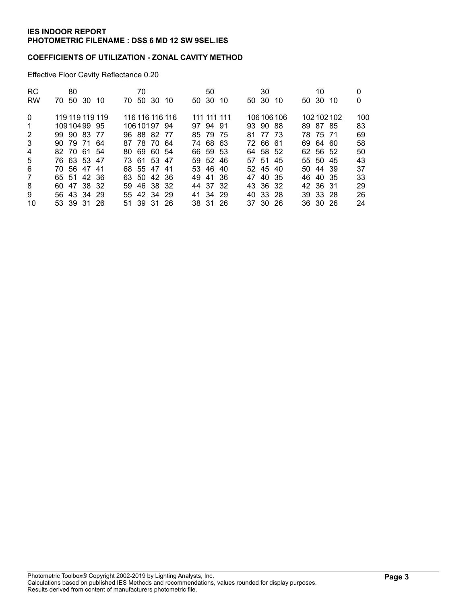# **COEFFICIENTS OF UTILIZATION - ZONAL CAVITY METHOD**

Effective Floor Cavity Reflectance 0.20

| <b>RC</b><br><b>RW</b> | 80<br>70 50<br>-30 10 | 70<br>50 30<br>70. | -10 | 50 30       | 50 | 10 | 50 30 | 30       | -10         | 50 30 | 10       | -10       | 0<br>0 |
|------------------------|-----------------------|--------------------|-----|-------------|----|----|-------|----------|-------------|-------|----------|-----------|--------|
| $\Omega$               | 119 119 119 119       | 116 116 116 116    |     | 111 111 111 |    |    |       |          | 106 106 106 |       |          | 102102102 | 100    |
| $\mathbf 1$            | 10910499 95           | 10610197 94        |     | 97 94 91    |    |    |       | 93 90 88 |             |       | 89 87 85 |           | 83     |
| $\overline{2}$         | 99 90 83 77           | 96 88 82 77        |     | 85 79 75    |    |    | 81    | 77 73    |             |       | 78 75 71 |           | 69     |
| 3                      | 90 79 71 64           | 87 78 70 64        |     | 74 68 63    |    |    |       | 72 66 61 |             |       | 69 64 60 |           | 58     |
| 4                      | 82 70 61 54           | 80 69 60 54        |     | 66 59 53    |    |    |       | 64 58 52 |             |       | 62 56 52 |           | 50     |
| 5                      | 76 63 53 47           | 73 61 53 47        |     | 59 52 46    |    |    | 57 51 |          | -45         | 55 50 |          | -45       | 43     |
| 6                      | 70 56 47 41           | 68 55 47 41        |     | 53 46 40    |    |    |       | 52 45 40 |             |       | 50 44 39 |           | 37     |
| $\overline{7}$         | 65 51 42 36           | 63 50 42 36        |     | 49 41 36    |    |    |       | 47 40 35 |             |       | 46 40 35 |           | 33     |
| 8                      | 60 47 38 32           | 46 38 32<br>59.    |     | 44 37 32    |    |    |       | 43 36 32 |             |       | 42 36 31 |           | 29     |
| 9                      | 56 43 34 29           | 55 42 34 29        |     | 41 34 29    |    |    |       | 40 33 28 |             |       | 39 33 28 |           | 26     |
| 10                     | 53 39 31 26           | 51 39 31 26        |     | 38 31 26    |    |    |       | 37 30 26 |             |       | 36 30 26 |           | 24     |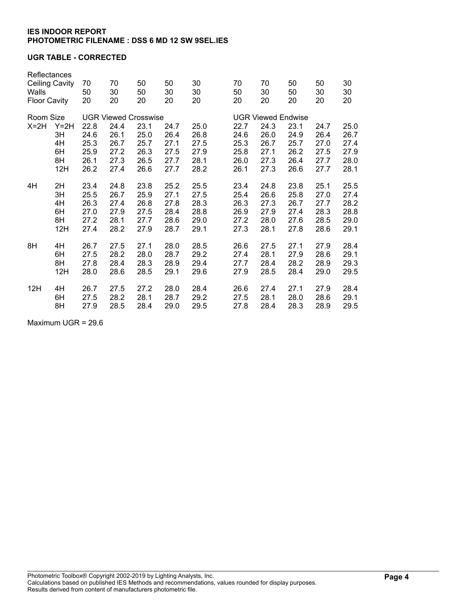# **UGR TABLE - CORRECTED**

| Walls<br><b>Floor Cavity</b> | Reflectances<br>Ceiling Cavity | 70<br>50<br>20 | 70<br>30<br>20              | 50<br>50<br>20 | 50<br>30<br>20            | 30<br>30<br>20 | 70<br>50<br>20 | 70<br>50<br>30<br>50<br>20<br>20 |      | 50<br>30<br>20 | 30<br>30<br>20 |
|------------------------------|--------------------------------|----------------|-----------------------------|----------------|---------------------------|----------------|----------------|----------------------------------|------|----------------|----------------|
| Room Size                    |                                |                | <b>UGR Viewed Crosswise</b> |                | <b>UGR Viewed Endwise</b> |                |                |                                  |      |                |                |
| $X=2H$                       | $Y=2H$                         | 22.8           | 24.4                        | 23.1           | 24.7                      | 25.0           | 22.7           | 24.3                             | 23.1 | 24.7           | 25.0           |
|                              | 3H                             | 24.6           | 26.1                        | 25.0           | 26.4                      | 26.8           | 24.6           | 26.0                             | 24.9 | 26.4           | 26.7           |
|                              | 4H                             | 25.3           | 26.7                        | 25.7           | 27.1                      | 27.5           | 25.3           | 26.7                             | 25.7 | 27.0           | 27.4           |
|                              | 6H                             | 25.9           | 27.2                        | 26.3           | 27.5                      | 27.9           | 25.8           | 27.1                             | 26.2 | 27.5           | 27.9           |
|                              | 8H                             | 26.1           | 27.3                        | 26.5           | 27.7                      | 28.1           | 26.0           | 27.3                             | 26.4 | 27.7           | 28.0           |
|                              | 12H                            | 26.2           | 27.4                        | 26.6           | 27.7                      | 28.2           | 26.1           | 27.3                             | 26.6 | 27.7           | 28.1           |
|                              |                                | 23.4           | 24.8                        | 23.8           | 25.2                      | 25.5           | 23.4           | 24.8                             | 23.8 | 25.1           | 25.5           |
| 4H                           | 2H<br>3H                       | 25.5           | 26.7                        | 25.9           | 27.1                      | 27.5           | 25.4           | 26.6                             | 25.8 | 27.0           | 27.4           |
|                              | 4H                             | 26.3           |                             |                |                           |                | 26.3           |                                  |      |                | 28.2           |
|                              |                                |                | 27.4                        | 26.8           | 27.8                      | 28.3           |                | 27.3                             | 26.7 | 27.7           |                |
|                              | 6H                             | 27.0           | 27.9                        | 27.5           | 28.4                      | 28.8           | 26.9           | 27.9                             | 27.4 | 28.3           | 28.8           |
|                              | 8H                             | 27.2           | 28.1                        | 27.7           | 28.6                      | 29.0           | 27.2           | 28.0                             | 27.6 | 28.5           | 29.0           |
|                              | 12H                            | 27.4           | 28.2                        | 27.9           | 28.7                      | 29.1           | 27.3           | 28.1                             | 27.8 | 28.6           | 29.1           |
| 8H                           | 4H                             | 26.7           | 27.5                        | 27.1           | 28.0                      | 28.5           | 26.6           | 27.5                             | 27.1 | 27.9           | 28.4           |
|                              | 6H                             | 27.5           | 28.2                        | 28.0           | 28.7                      | 29.2           | 27.4           | 28.1                             | 27.9 | 28.6           | 29.1           |
|                              | 8H                             | 27.8           | 28.4                        | 28.3           | 28.9                      | 29.4           | 27.7           | 28.4                             | 28.2 | 28.9           | 29.3           |
|                              | 12H                            | 28.0           | 28.6                        | 28.5           | 29.1                      | 29.6           | 27.9           | 28.5                             | 28.4 | 29.0           | 29.5           |
| 12H                          | 4H                             | 26.7           | 27.5                        | 27.2           | 28.0                      | 28.4           | 26.6           | 27.4                             | 27.1 | 27.9           | 28.4           |
|                              | 6H                             | 27.5           | 28.2                        | 28.1           | 28.7                      | 29.2           | 27.5           | 28.1                             | 28.0 | 28.6           | 29.1           |
|                              | 8H                             | 27.9           | 28.5                        | 28.4           | 29.0                      | 29.5           | 27.8           | 28.4                             | 28.3 | 28.9           | 29.5           |

Maximum UGR = 29.6